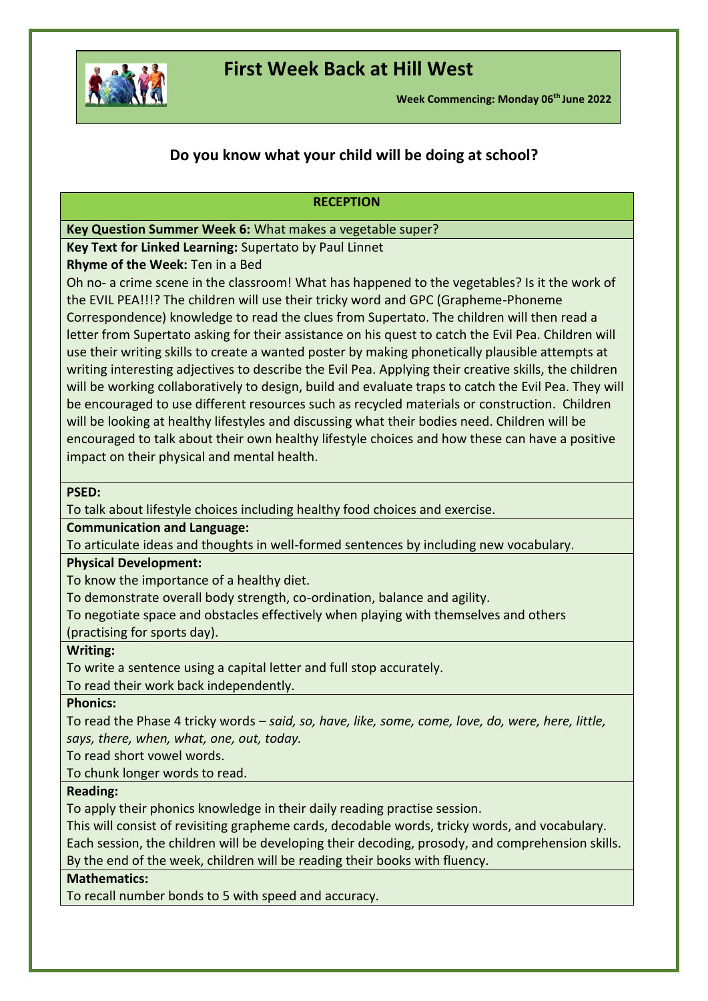

## **First Week Back at Hill West**

**Week Commencing: Monday 06th June 2022**

## **Do you know what your child will be doing at school?**

#### **RECEPTION**

**Key Question Summer Week 6:** What makes a vegetable super?

**Key Text for Linked Learning:** Supertato by Paul Linnet

**Rhyme of the Week:** Ten in a Bed

Oh no- a crime scene in the classroom! What has happened to the vegetables? Is it the work of the EVIL PEA!!!? The children will use their tricky word and GPC (Grapheme-Phoneme Correspondence) knowledge to read the clues from Supertato. The children will then read a letter from Supertato asking for their assistance on his quest to catch the Evil Pea. Children will use their writing skills to create a wanted poster by making phonetically plausible attempts at writing interesting adjectives to describe the Evil Pea. Applying their creative skills, the children will be working collaboratively to design, build and evaluate traps to catch the Evil Pea. They will be encouraged to use different resources such as recycled materials or construction. Children will be looking at healthy lifestyles and discussing what their bodies need. Children will be encouraged to talk about their own healthy lifestyle choices and how these can have a positive impact on their physical and mental health.

### **PSED:**

To talk about lifestyle choices including healthy food choices and exercise.

**Communication and Language:** 

To articulate ideas and thoughts in well-formed sentences by including new vocabulary.

#### **Physical Development:**

To know the importance of a healthy diet.

To demonstrate overall body strength, co-ordination, balance and agility.

To negotiate space and obstacles effectively when playing with themselves and others

(practising for sports day).

#### **Writing:**

To write a sentence using a capital letter and full stop accurately.

To read their work back independently.

**Phonics:** 

To read the Phase 4 tricky words – *said, so, have, like, some, come, love, do, were, here, little, says, there, when, what, one, out, today.* 

To read short vowel words.

To chunk longer words to read.

### **Reading:**

To apply their phonics knowledge in their daily reading practise session.

This will consist of revisiting grapheme cards, decodable words, tricky words, and vocabulary.

Each session, the children will be developing their decoding, prosody, and comprehension skills. By the end of the week, children will be reading their books with fluency.

### **Mathematics:**

To recall number bonds to 5 with speed and accuracy.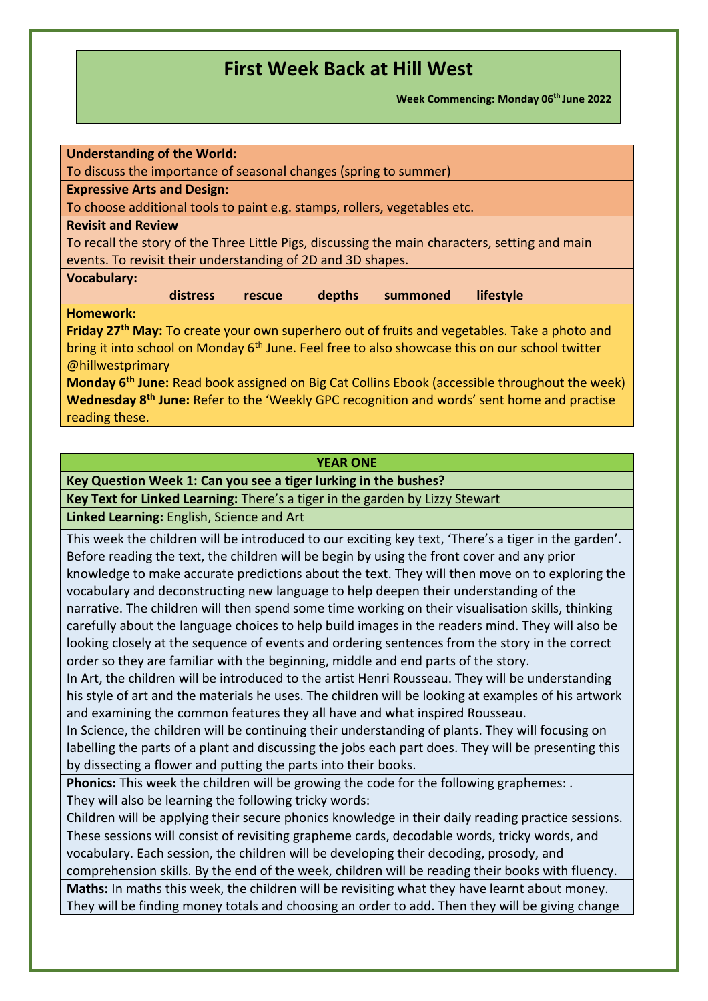**Week Commencing: Monday 06th June 2022**

#### **YEAR ONE**

**Key Question Week 1: Can you see a tiger lurking in the bushes?**

**Key Text for Linked Learning:** There's a tiger in the garden by Lizzy Stewart

**Linked Learning:** English, Science and Art

This week the children will be introduced to our exciting key text, 'There's a tiger in the garden'. Before reading the text, the children will be begin by using the front cover and any prior knowledge to make accurate predictions about the text. They will then move on to exploring the vocabulary and deconstructing new language to help deepen their understanding of the narrative. The children will then spend some time working on their visualisation skills, thinking carefully about the language choices to help build images in the readers mind. They will also be looking closely at the sequence of events and ordering sentences from the story in the correct order so they are familiar with the beginning, middle and end parts of the story.

In Art, the children will be introduced to the artist Henri Rousseau. They will be understanding his style of art and the materials he uses. The children will be looking at examples of his artwork and examining the common features they all have and what inspired Rousseau.

In Science, the children will be continuing their understanding of plants. They will focusing on labelling the parts of a plant and discussing the jobs each part does. They will be presenting this by dissecting a flower and putting the parts into their books.

**Phonics:** This week the children will be growing the code for the following graphemes: . They will also be learning the following tricky words:

Children will be applying their secure phonics knowledge in their daily reading practice sessions. These sessions will consist of revisiting grapheme cards, decodable words, tricky words, and vocabulary. Each session, the children will be developing their decoding, prosody, and

comprehension skills. By the end of the week, children will be reading their books with fluency. **Maths:** In maths this week, the children will be revisiting what they have learnt about money. They will be finding money totals and choosing an order to add. Then they will be giving change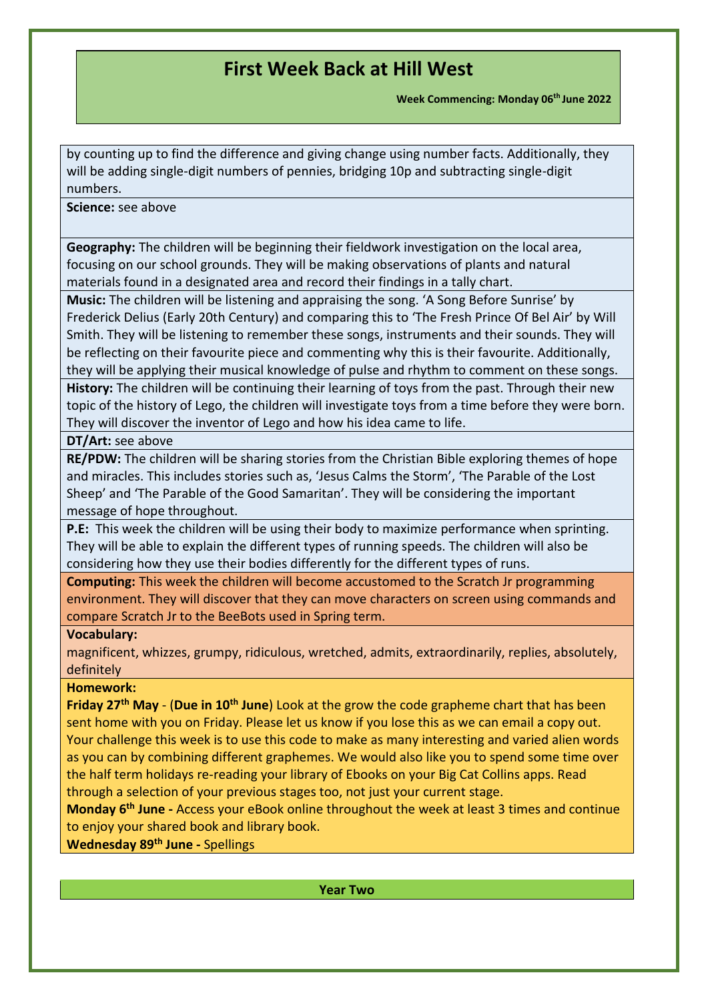**Week Commencing: Monday 06th June 2022**

by counting up to find the difference and giving change using number facts. Additionally, they will be adding single-digit numbers of pennies, bridging 10p and subtracting single-digit numbers.

#### **Science:** see above

**Geography:** The children will be beginning their fieldwork investigation on the local area, focusing on our school grounds. They will be making observations of plants and natural materials found in a designated area and record their findings in a tally chart.

**Music:** The children will be listening and appraising the song. 'A Song Before Sunrise' by Frederick Delius (Early 20th Century) and comparing this to 'The Fresh Prince Of Bel Air' by Will Smith. They will be listening to remember these songs, instruments and their sounds. They will be reflecting on their favourite piece and commenting why this is their favourite. Additionally, they will be applying their musical knowledge of pulse and rhythm to comment on these songs.

**History:** The children will be continuing their learning of toys from the past. Through their new topic of the history of Lego, the children will investigate toys from a time before they were born. They will discover the inventor of Lego and how his idea came to life.

### **DT/Art:** see above

**RE/PDW:** The children will be sharing stories from the Christian Bible exploring themes of hope and miracles. This includes stories such as, 'Jesus Calms the Storm', 'The Parable of the Lost Sheep' and 'The Parable of the Good Samaritan'. They will be considering the important message of hope throughout.

**P.E:** This week the children will be using their body to maximize performance when sprinting. They will be able to explain the different types of running speeds. The children will also be considering how they use their bodies differently for the different types of runs.

**Computing:** This week the children will become accustomed to the Scratch Jr programming environment. They will discover that they can move characters on screen using commands and compare Scratch Jr to the BeeBots used in Spring term.

### **Vocabulary:**

magnificent, whizzes, grumpy, ridiculous, wretched, admits, extraordinarily, replies, absolutely, definitely

### **Homework:**

**Friday 27th May** - (**Due in 10th June**) Look at the grow the code grapheme chart that has been sent home with you on Friday. Please let us know if you lose this as we can email a copy out. Your challenge this week is to use this code to make as many interesting and varied alien words as you can by combining different graphemes. We would also like you to spend some time over the half term holidays re-reading your library of Ebooks on your Big Cat Collins apps. Read through a selection of your previous stages too, not just your current stage.

**Monday 6 th June -** Access your eBook online throughout the week at least 3 times and continue to enjoy your shared book and library book.

### **Wednesday 89th June -** Spellings

**Year Two**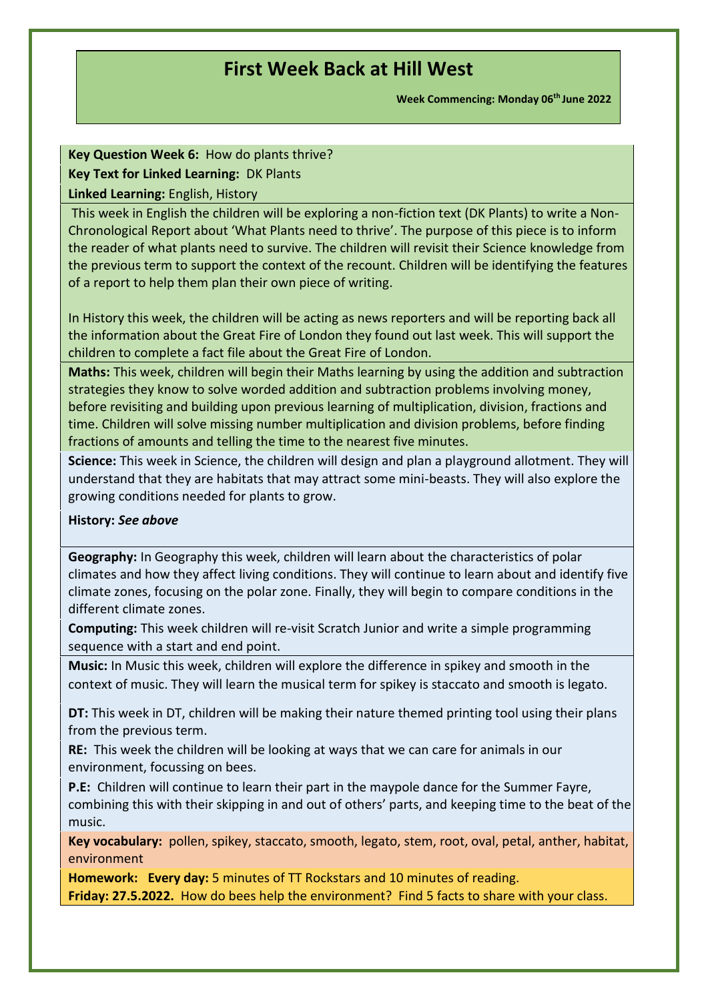**Week Commencing: Monday 06th June 2022**

### **Key Question Week 6:** How do plants thrive? **Key Text for Linked Learning:** DK Plants **Linked Learning:** English, History

This week in English the children will be exploring a non-fiction text (DK Plants) to write a Non-Chronological Report about 'What Plants need to thrive'. The purpose of this piece is to inform the reader of what plants need to survive. The children will revisit their Science knowledge from the previous term to support the context of the recount. Children will be identifying the features of a report to help them plan their own piece of writing.

In History this week, the children will be acting as news reporters and will be reporting back all the information about the Great Fire of London they found out last week. This will support the children to complete a fact file about the Great Fire of London.

**Maths:** This week, children will begin their Maths learning by using the addition and subtraction strategies they know to solve worded addition and subtraction problems involving money, before revisiting and building upon previous learning of multiplication, division, fractions and time. Children will solve missing number multiplication and division problems, before finding fractions of amounts and telling the time to the nearest five minutes.

**Science:** This week in Science, the children will design and plan a playground allotment. They will understand that they are habitats that may attract some mini-beasts. They will also explore the growing conditions needed for plants to grow.

### **History:** *See above*

**Geography:** In Geography this week, children will learn about the characteristics of polar climates and how they affect living conditions. They will continue to learn about and identify five climate zones, focusing on the polar zone. Finally, they will begin to compare conditions in the different climate zones.

**Computing:** This week children will re-visit Scratch Junior and write a simple programming sequence with a start and end point.

**Music:** In Music this week, children will explore the difference in spikey and smooth in the context of music. They will learn the musical term for spikey is staccato and smooth is legato.

**DT:** This week in DT, children will be making their nature themed printing tool using their plans from the previous term.

**RE:** This week the children will be looking at ways that we can care for animals in our environment, focussing on bees.

**P.E:** Children will continue to learn their part in the maypole dance for the Summer Fayre, combining this with their skipping in and out of others' parts, and keeping time to the beat of the music.

**Key vocabulary:** pollen, spikey, staccato, smooth, legato, stem, root, oval, petal, anther, habitat, environment

**Homework: Every day:** 5 minutes of TT Rockstars and 10 minutes of reading. **Friday: 27.5.2022.** How do bees help the environment? Find 5 facts to share with your class.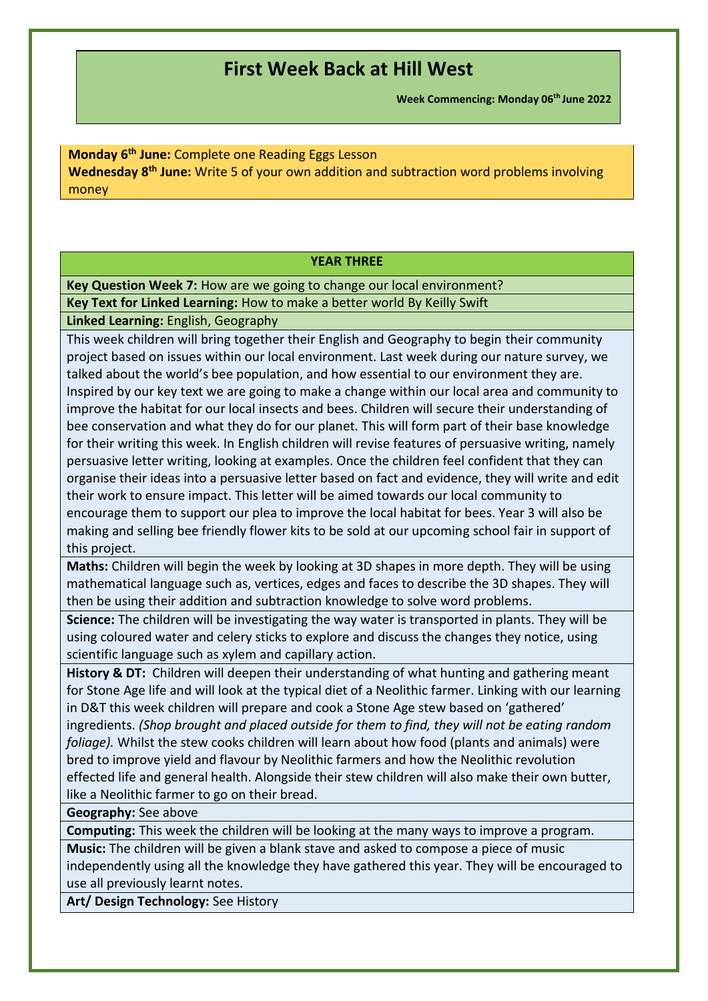**Week Commencing: Monday 06th June 2022**

**Monday 6 th June:** Complete one Reading Eggs Lesson **Wednesday 8 th June:** Write 5 of your own addition and subtraction word problems involving money

#### **YEAR THREE**

**Key Question Week 7:** How are we going to change our local environment?

**Key Text for Linked Learning:** How to make a better world By Keilly Swift

**Linked Learning:** English, Geography

This week children will bring together their English and Geography to begin their community project based on issues within our local environment. Last week during our nature survey, we talked about the world's bee population, and how essential to our environment they are. Inspired by our key text we are going to make a change within our local area and community to improve the habitat for our local insects and bees. Children will secure their understanding of bee conservation and what they do for our planet. This will form part of their base knowledge for their writing this week. In English children will revise features of persuasive writing, namely persuasive letter writing, looking at examples. Once the children feel confident that they can organise their ideas into a persuasive letter based on fact and evidence, they will write and edit their work to ensure impact. This letter will be aimed towards our local community to encourage them to support our plea to improve the local habitat for bees. Year 3 will also be making and selling bee friendly flower kits to be sold at our upcoming school fair in support of this project.

**Maths:** Children will begin the week by looking at 3D shapes in more depth. They will be using mathematical language such as, vertices, edges and faces to describe the 3D shapes. They will then be using their addition and subtraction knowledge to solve word problems.

**Science:** The children will be investigating the way water is transported in plants. They will be using coloured water and celery sticks to explore and discuss the changes they notice, using scientific language such as xylem and capillary action.

**History & DT:** Children will deepen their understanding of what hunting and gathering meant for Stone Age life and will look at the typical diet of a Neolithic farmer. Linking with our learning in D&T this week children will prepare and cook a Stone Age stew based on 'gathered' ingredients. *(Shop brought and placed outside for them to find, they will not be eating random foliage).* Whilst the stew cooks children will learn about how food (plants and animals) were bred to improve yield and flavour by Neolithic farmers and how the Neolithic revolution effected life and general health. Alongside their stew children will also make their own butter, like a Neolithic farmer to go on their bread.

**Geography:** See above

**Computing:** This week the children will be looking at the many ways to improve a program.

**Music:** The children will be given a blank stave and asked to compose a piece of music independently using all the knowledge they have gathered this year. They will be encouraged to use all previously learnt notes.

**Art/ Design Technology:** See History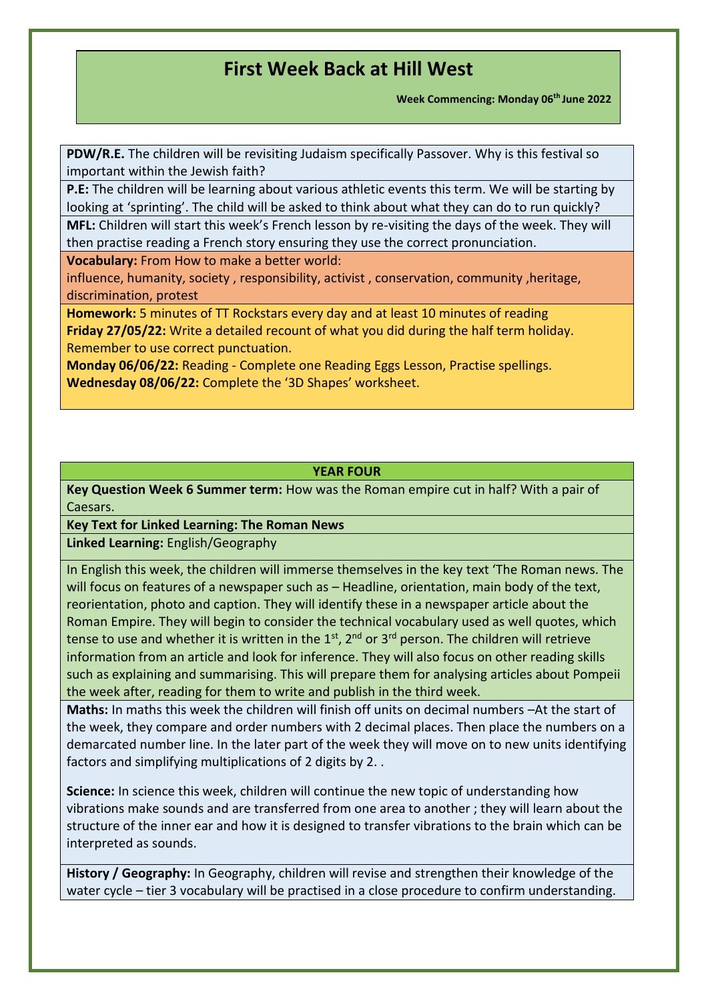**Week Commencing: Monday 06th June 2022**

**PDW/R.E.** The children will be revisiting Judaism specifically Passover. Why is this festival so important within the Jewish faith?

**P.E:** The children will be learning about various athletic events this term. We will be starting by looking at 'sprinting'. The child will be asked to think about what they can do to run quickly?

**MFL:** Children will start this week's French lesson by re-visiting the days of the week. They will then practise reading a French story ensuring they use the correct pronunciation.

**Vocabulary:** From How to make a better world:

influence, humanity, society , responsibility, activist , conservation, community ,heritage, discrimination, protest

**Homework:** 5 minutes of TT Rockstars every day and at least 10 minutes of reading **Friday 27/05/22:** Write a detailed recount of what you did during the half term holiday. Remember to use correct punctuation.

**Monday 06/06/22:** Reading - Complete one Reading Eggs Lesson, Practise spellings. **Wednesday 08/06/22:** Complete the '3D Shapes' worksheet.

### **YEAR FOUR**

**Key Question Week 6 Summer term:** How was the Roman empire cut in half? With a pair of Caesars.

**Key Text for Linked Learning: The Roman News**

**Linked Learning:** English/Geography

In English this week, the children will immerse themselves in the key text 'The Roman news. The will focus on features of a newspaper such as  $-$  Headline, orientation, main body of the text, reorientation, photo and caption. They will identify these in a newspaper article about the Roman Empire. They will begin to consider the technical vocabulary used as well quotes, which tense to use and whether it is written in the  $1<sup>st</sup>$ ,  $2<sup>nd</sup>$  or  $3<sup>rd</sup>$  person. The children will retrieve information from an article and look for inference. They will also focus on other reading skills such as explaining and summarising. This will prepare them for analysing articles about Pompeii the week after, reading for them to write and publish in the third week.

**Maths:** In maths this week the children will finish off units on decimal numbers –At the start of the week, they compare and order numbers with 2 decimal places. Then place the numbers on a demarcated number line. In the later part of the week they will move on to new units identifying factors and simplifying multiplications of 2 digits by 2. .

**Science:** In science this week, children will continue the new topic of understanding how vibrations make sounds and are transferred from one area to another ; they will learn about the structure of the inner ear and how it is designed to transfer vibrations to the brain which can be interpreted as sounds.

**History / Geography:** In Geography, children will revise and strengthen their knowledge of the water cycle – tier 3 vocabulary will be practised in a close procedure to confirm understanding.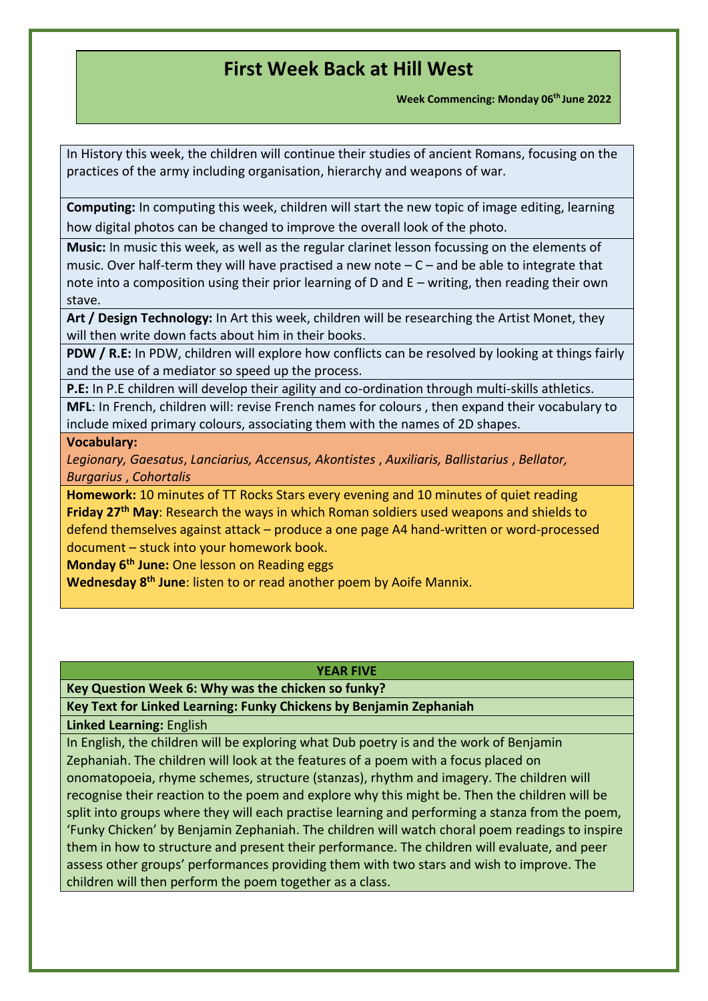**Week Commencing: Monday 06th June 2022**

In History this week, the children will continue their studies of ancient Romans, focusing on the practices of the army including organisation, hierarchy and weapons of war.

**Computing:** In computing this week, children will start the new topic of image editing, learning how digital photos can be changed to improve the overall look of the photo.

**Music:** In music this week, as well as the regular clarinet lesson focussing on the elements of music. Over half-term they will have practised a new note  $-C$  – and be able to integrate that note into a composition using their prior learning of D and E – writing, then reading their own stave.

**Art / Design Technology:** In Art this week, children will be researching the Artist Monet, they will then write down facts about him in their books.

**PDW / R.E:** In PDW, children will explore how conflicts can be resolved by looking at things fairly and the use of a mediator so speed up the process.

**P.E:** In P.E children will develop their agility and co-ordination through multi-skills athletics.

**MFL**: In French, children will: revise French names for colours , then expand their vocabulary to include mixed primary colours, associating them with the names of 2D shapes.

#### **Vocabulary:**

*Legionary, Gaesatus*, *Lanciarius, Accensus, Akontistes* , *Auxiliaris, Ballistarius* , *Bellator, Burgarius* , *Cohortalis*

**Homework:** 10 minutes of TT Rocks Stars every evening and 10 minutes of quiet reading **Friday 27th May**: Research the ways in which Roman soldiers used weapons and shields to defend themselves against attack – produce a one page A4 hand-written or word-processed document – stuck into your homework book.

**Monday 6th June:** One lesson on Reading eggs

**Wednesday 8 th June**: listen to or read another poem by Aoife Mannix.

#### **YEAR FIVE**

**Key Question Week 6: Why was the chicken so funky?**

**Key Text for Linked Learning: Funky Chickens by Benjamin Zephaniah**

**Linked Learning:** English

In English, the children will be exploring what Dub poetry is and the work of Benjamin Zephaniah. The children will look at the features of a poem with a focus placed on onomatopoeia, rhyme schemes, structure (stanzas), rhythm and imagery. The children will recognise their reaction to the poem and explore why this might be. Then the children will be split into groups where they will each practise learning and performing a stanza from the poem, 'Funky Chicken' by Benjamin Zephaniah. The children will watch choral poem readings to inspire them in how to structure and present their performance. The children will evaluate, and peer assess other groups' performances providing them with two stars and wish to improve. The children will then perform the poem together as a class.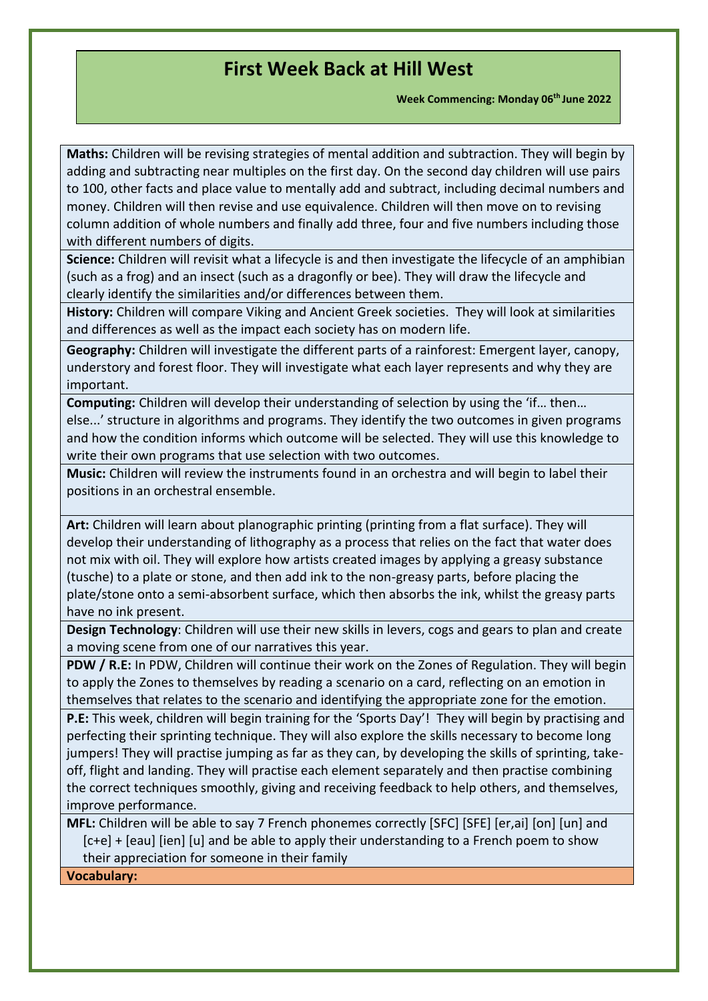**Week Commencing: Monday 06th June 2022**

**Maths:** Children will be revising strategies of mental addition and subtraction. They will begin by adding and subtracting near multiples on the first day. On the second day children will use pairs to 100, other facts and place value to mentally add and subtract, including decimal numbers and money. Children will then revise and use equivalence. Children will then move on to revising column addition of whole numbers and finally add three, four and five numbers including those with different numbers of digits.

**Science:** Children will revisit what a lifecycle is and then investigate the lifecycle of an amphibian (such as a frog) and an insect (such as a dragonfly or bee). They will draw the lifecycle and clearly identify the similarities and/or differences between them.

**History:** Children will compare Viking and Ancient Greek societies. They will look at similarities and differences as well as the impact each society has on modern life.

**Geography:** Children will investigate the different parts of a rainforest: Emergent layer, canopy, understory and forest floor. They will investigate what each layer represents and why they are important.

**Computing:** Children will develop their understanding of selection by using the 'if… then… else...' structure in algorithms and programs. They identify the two outcomes in given programs and how the condition informs which outcome will be selected. They will use this knowledge to write their own programs that use selection with two outcomes.

**Music:** Children will review the instruments found in an orchestra and will begin to label their positions in an orchestral ensemble.

**Art:** Children will learn about planographic printing (printing from a flat surface). They will develop their understanding of lithography as a process that relies on the fact that water does not mix with oil. They will explore how artists created images by applying a greasy substance (tusche) to a plate or stone, and then add ink to the non-greasy parts, before placing the plate/stone onto a semi-absorbent surface, which then absorbs the ink, whilst the greasy parts have no ink present.

**Design Technology**: Children will use their new skills in levers, cogs and gears to plan and create a moving scene from one of our narratives this year.

**PDW / R.E:** In PDW, Children will continue their work on the Zones of Regulation. They will begin to apply the Zones to themselves by reading a scenario on a card, reflecting on an emotion in themselves that relates to the scenario and identifying the appropriate zone for the emotion.

**P.E:** This week, children will begin training for the 'Sports Day'! They will begin by practising and perfecting their sprinting technique. They will also explore the skills necessary to become long jumpers! They will practise jumping as far as they can, by developing the skills of sprinting, takeoff, flight and landing. They will practise each element separately and then practise combining the correct techniques smoothly, giving and receiving feedback to help others, and themselves, improve performance.

**MFL:** Children will be able to say 7 French phonemes correctly [SFC] [SFE] [er,ai] [on] [un] and [c+e] + [eau] [ien] [u] and be able to apply their understanding to a French poem to show their appreciation for someone in their family

**Vocabulary:**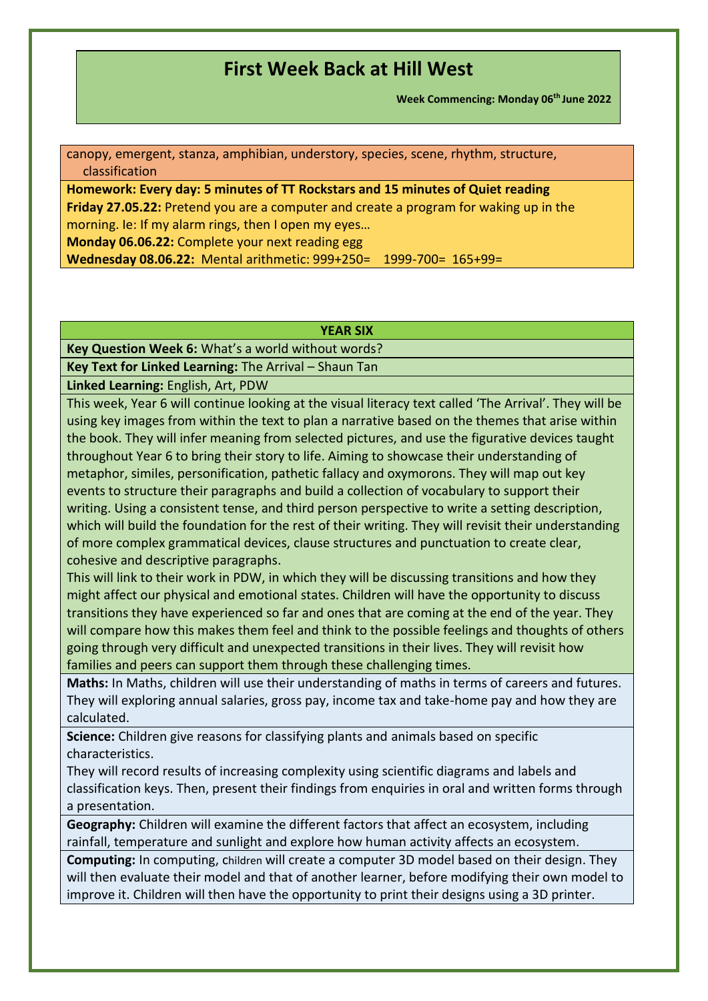**Week Commencing: Monday 06th June 2022**

canopy, emergent, stanza, amphibian, understory, species, scene, rhythm, structure, classification

**Homework: Every day: 5 minutes of TT Rockstars and 15 minutes of Quiet reading Friday 27.05.22:** Pretend you are a computer and create a program for waking up in the morning. Ie: If my alarm rings, then I open my eyes… **Monday 06.06.22:** Complete your next reading egg

**Wednesday 08.06.22:** Mental arithmetic: 999+250= 1999-700= 165+99=

#### **YEAR SIX**

**Key Question Week 6:** What's a world without words?

**Key Text for Linked Learning:** The Arrival – Shaun Tan

**Linked Learning:** English, Art, PDW

This week, Year 6 will continue looking at the visual literacy text called 'The Arrival'. They will be using key images from within the text to plan a narrative based on the themes that arise within the book. They will infer meaning from selected pictures, and use the figurative devices taught throughout Year 6 to bring their story to life. Aiming to showcase their understanding of metaphor, similes, personification, pathetic fallacy and oxymorons. They will map out key events to structure their paragraphs and build a collection of vocabulary to support their writing. Using a consistent tense, and third person perspective to write a setting description, which will build the foundation for the rest of their writing. They will revisit their understanding of more complex grammatical devices, clause structures and punctuation to create clear, cohesive and descriptive paragraphs.

This will link to their work in PDW, in which they will be discussing transitions and how they might affect our physical and emotional states. Children will have the opportunity to discuss transitions they have experienced so far and ones that are coming at the end of the year. They will compare how this makes them feel and think to the possible feelings and thoughts of others going through very difficult and unexpected transitions in their lives. They will revisit how families and peers can support them through these challenging times.

**Maths:** In Maths, children will use their understanding of maths in terms of careers and futures. They will exploring annual salaries, gross pay, income tax and take-home pay and how they are calculated.

**Science:** Children give reasons for classifying plants and animals based on specific characteristics.

They will record results of increasing complexity using scientific diagrams and labels and classification keys. Then, present their findings from enquiries in oral and written forms through a presentation.

**Geography:** Children will examine the different factors that affect an ecosystem, including rainfall, temperature and sunlight and explore how human activity affects an ecosystem.

**Computing:** In computing, children will create a computer 3D model based on their design. They will then evaluate their model and that of another learner, before modifying their own model to improve it. Children will then have the opportunity to print their designs using a 3D printer.